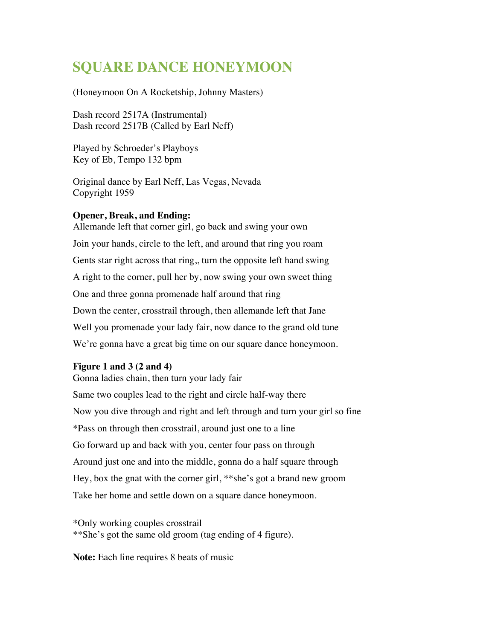## **SQUARE DANCE HONEYMOON**

(Honeymoon On A Rocketship, Johnny Masters)

Dash record 2517A (Instrumental) Dash record 2517B (Called by Earl Neff)

Played by Schroeder's Playboys Key of Eb, Tempo 132 bpm

Original dance by Earl Neff, Las Vegas, Nevada Copyright 1959

## **Opener, Break, and Ending:**

Allemande left that corner girl, go back and swing your own Join your hands, circle to the left, and around that ring you roam Gents star right across that ring,, turn the opposite left hand swing A right to the corner, pull her by, now swing your own sweet thing One and three gonna promenade half around that ring Down the center, crosstrail through, then allemande left that Jane Well you promenade your lady fair, now dance to the grand old tune We're gonna have a great big time on our square dance honeymoon.

## **Figure 1 and 3 (2 and 4)**

Gonna ladies chain, then turn your lady fair Same two couples lead to the right and circle half-way there Now you dive through and right and left through and turn your girl so fine \*Pass on through then crosstrail, around just one to a line Go forward up and back with you, center four pass on through Around just one and into the middle, gonna do a half square through Hey, box the gnat with the corner girl, \*\*she's got a brand new groom Take her home and settle down on a square dance honeymoon.

\*Only working couples crosstrail \*\*She's got the same old groom (tag ending of 4 figure).

**Note:** Each line requires 8 beats of music